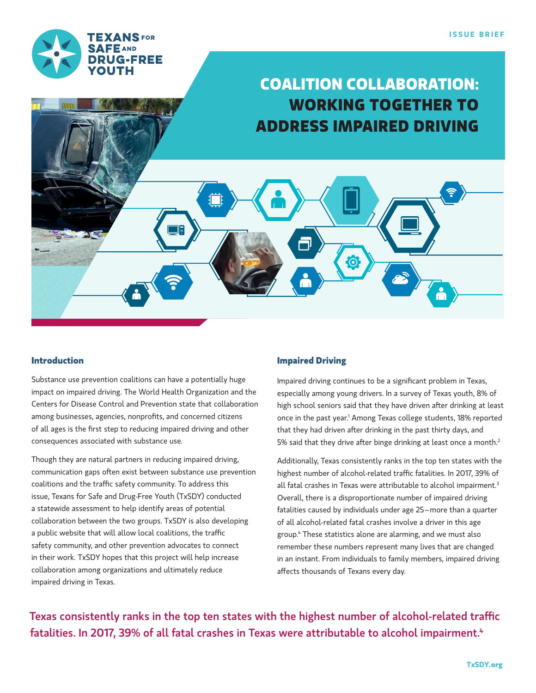

# **COALITION COLLABORATION: WORKING TOGETHER TO ADDRESS IMPAIRED DRIVING**

 $\odot$ 

#### **Introduction**

Substance use prevention coalitions can have a potentially huge impact on impaired driving. The World Health Organization and the Centers for Disease Control and Prevention state that collaboration among businesses, agencies, nonprofits, and concerned citizens of all ages is the first step to reducing impaired driving and other consequences associated with substance use.

Though they are natural partners in reducing impaired driving, communication gaps often exist between substance use prevention coalitions and the traffic safety community. To address this issue, Texans for Safe and Drug-Free Youth (TxSDY) conducted a statewide assessment to help identify areas of potential collaboration between the two groups. TxSDY is also developing a public website that will allow local coalitions, the traffic safety community, and other prevention advocates to connect in their work. TxSDY hopes that this project will help increase collaboration among organizations and ultimately reduce impaired driving in Texas.

### **Impaired Driving**

Impaired driving continues to be a significant problem in Texas, especially among young drivers. In a survey of Texas youth, 8% of high school seniors said that they have driven after drinking at least once in the past year.<sup>1</sup> Among Texas college students, 18% reported that they had driven after drinking in the past thirty days, and 5% said that they drive after binge drinking at least once a month.<sup>2</sup>

Additionally, Texas consistently ranks in the top ten states with the highest number of alcohol-related traffic fatalities. In 2017, 39% of all fatal crashes in Texas were attributable to alcohol impairment.<sup>3</sup> Overall, there is a disproportionate number of impaired driving fatalities caused by individuals under age 25–more than a quarter of all alcohol-related fatal crashes involve a driver in this age group.4 These statistics alone are alarming, and we must also remember these numbers represent many lives that are changed in an instant. From individuals to family members, impaired driving affects thousands of Texans every day.

Texas consistently ranks in the top ten states with the highest number of alcohol-related traffic fatalities. In 2017, 39% of all fatal crashes in Texas were attributable to alcohol impairment.<sup>4</sup>